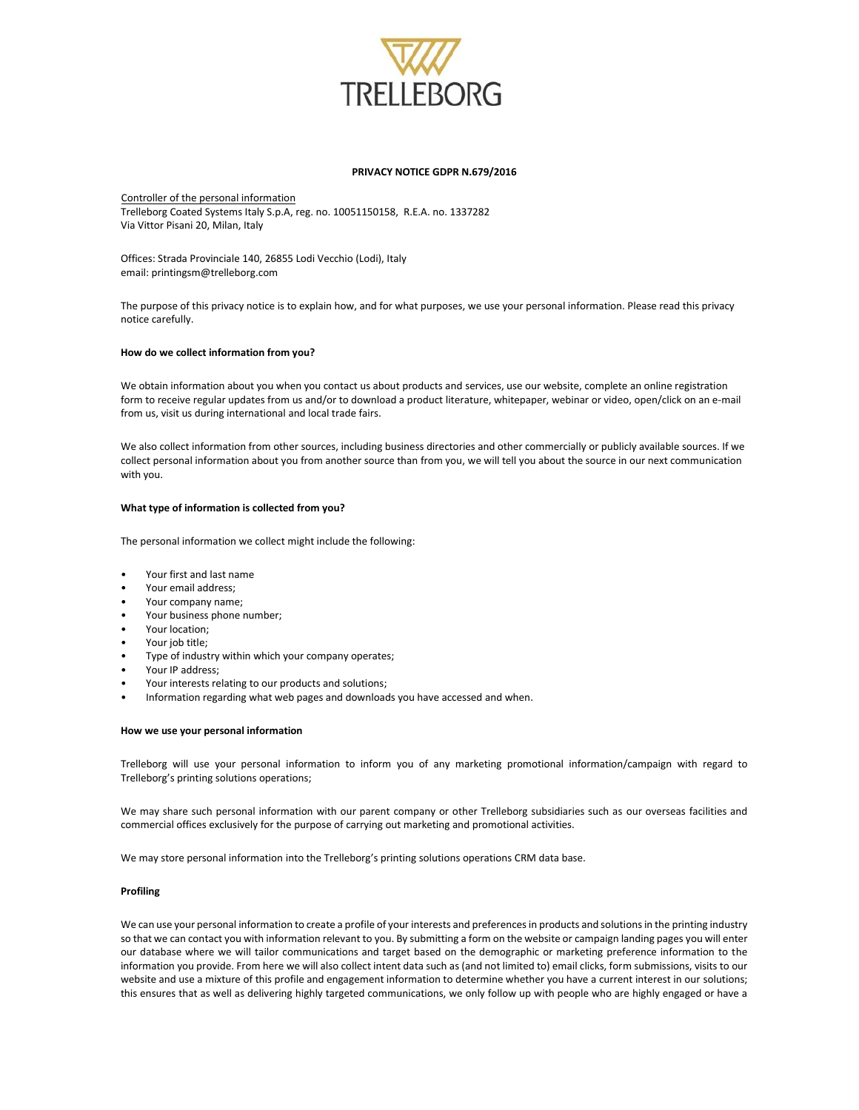

#### **PRIVACY NOTICE GDPR N.679/2016**

Controller of the personal information Trelleborg Coated Systems Italy S.p.A, reg. no. 10051150158, R.E.A. no. 1337282 Via Vittor Pisani 20, Milan, Italy

Offices: Strada Provinciale 140, 26855 Lodi Vecchio (Lodi), Italy email: printingsm@trelleborg.com

The purpose of this privacy notice is to explain how, and for what purposes, we use your personal information. Please read this privacy notice carefully.

# **How do we collect information from you?**

We obtain information about you when you contact us about products and services, use our website, complete an online registration form to receive regular updates from us and/or to download a product literature, whitepaper, webinar or video, open/click on an e-mail from us, visit us during international and local trade fairs.

We also collect information from other sources, including business directories and other commercially or publicly available sources. If we collect personal information about you from another source than from you, we will tell you about the source in our next communication with you.

## **What type of information is collected from you?**

The personal information we collect might include the following:

- Your first and last name
- Your email address;
- Your company name;
- Your business phone number;
- Your location;
- Your job title;
- Type of industry within which your company operates;
- Your IP address;
- Your interests relating to our products and solutions;
- Information regarding what web pages and downloads you have accessed and when.

#### **How we use your personal information**

Trelleborg will use your personal information to inform you of any marketing promotional information/campaign with regard to Trelleborg's printing solutions operations;

We may share such personal information with our parent company or other Trelleborg subsidiaries such as our overseas facilities and commercial offices exclusively for the purpose of carrying out marketing and promotional activities.

We may store personal information into the Trelleborg's printing solutions operations CRM data base.

#### **Profiling**

We can use your personal information to create a profile of your interests and preferences in products and solutions in the printing industry so that we can contact you with information relevant to you. By submitting a form on the website or campaign landing pages you will enter our database where we will tailor communications and target based on the demographic or marketing preference information to the information you provide. From here we will also collect intent data such as (and not limited to) email clicks, form submissions, visits to our website and use a mixture of this profile and engagement information to determine whether you have a current interest in our solutions; this ensures that as well as delivering highly targeted communications, we only follow up with people who are highly engaged or have a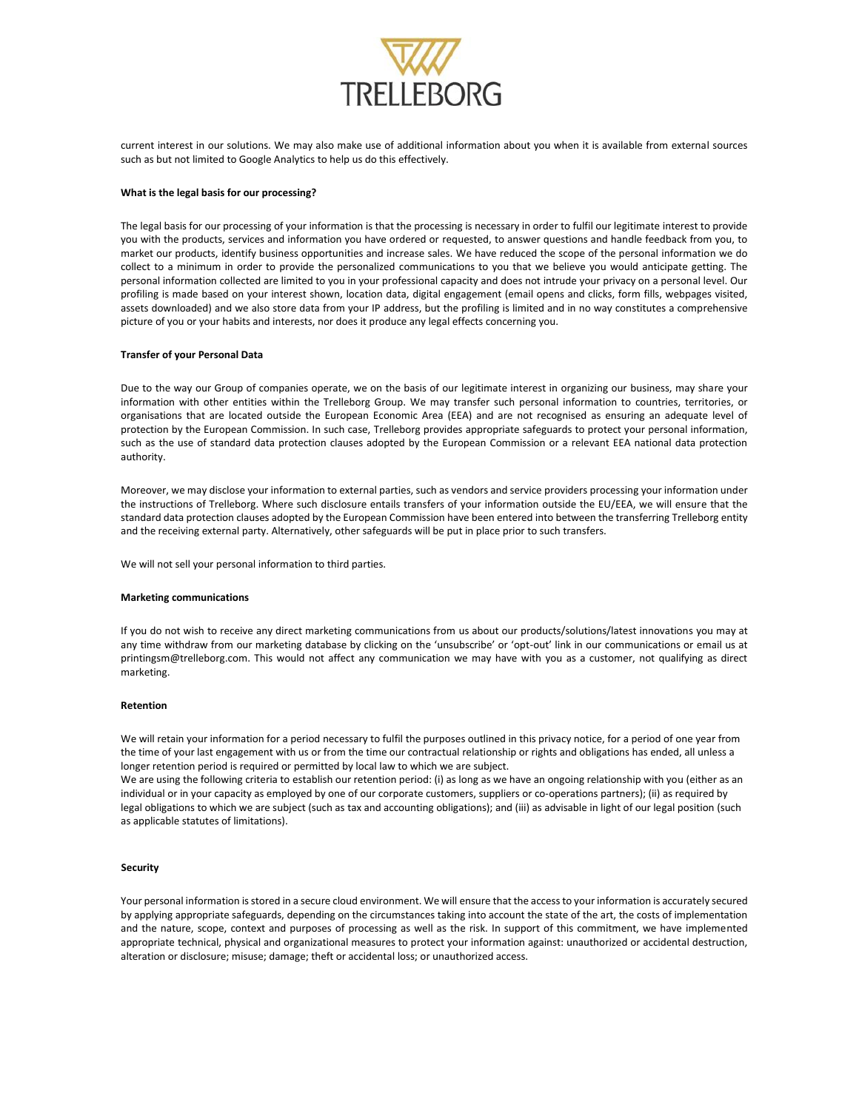

current interest in our solutions. We may also make use of additional information about you when it is available from external sources such as but not limited to Google Analytics to help us do this effectively.

## **What is the legal basis for our processing?**

The legal basis for our processing of your information is that the processing is necessary in order to fulfil our legitimate interest to provide you with the products, services and information you have ordered or requested, to answer questions and handle feedback from you, to market our products, identify business opportunities and increase sales. We have reduced the scope of the personal information we do collect to a minimum in order to provide the personalized communications to you that we believe you would anticipate getting. The personal information collected are limited to you in your professional capacity and does not intrude your privacy on a personal level. Our profiling is made based on your interest shown, location data, digital engagement (email opens and clicks, form fills, webpages visited, assets downloaded) and we also store data from your IP address, but the profiling is limited and in no way constitutes a comprehensive picture of you or your habits and interests, nor does it produce any legal effects concerning you.

## **Transfer of your Personal Data**

Due to the way our Group of companies operate, we on the basis of our legitimate interest in organizing our business, may share your information with other entities within the Trelleborg Group. We may transfer such personal information to countries, territories, or organisations that are located outside the European Economic Area (EEA) and are not recognised as ensuring an adequate level of protection by the European Commission. In such case, Trelleborg provides appropriate safeguards to protect your personal information, such as the use of standard data protection clauses adopted by the European Commission or a relevant EEA national data protection authority.

Moreover, we may disclose your information to external parties, such as vendors and service providers processing your information under the instructions of Trelleborg. Where such disclosure entails transfers of your information outside the EU/EEA, we will ensure that the standard data protection clauses adopted by the European Commission have been entered into between the transferring Trelleborg entity and the receiving external party. Alternatively, other safeguards will be put in place prior to such transfers.

We will not sell your personal information to third parties.

## **Marketing communications**

If you do not wish to receive any direct marketing communications from us about our products/solutions/latest innovations you may at any time withdraw from our marketing database by clicking on the 'unsubscribe' or 'opt-out' link in our communications or email us at printingsm@trelleborg.com. This would not affect any communication we may have with you as a customer, not qualifying as direct marketing.

#### **Retention**

We will retain your information for a period necessary to fulfil the purposes outlined in this privacy notice, for a period of one year from the time of your last engagement with us or from the time our contractual relationship or rights and obligations has ended, all unless a longer retention period is required or permitted by local law to which we are subject.

We are using the following criteria to establish our retention period: (i) as long as we have an ongoing relationship with you (either as an individual or in your capacity as employed by one of our corporate customers, suppliers or co-operations partners); (ii) as required by legal obligations to which we are subject (such as tax and accounting obligations); and (iii) as advisable in light of our legal position (such as applicable statutes of limitations).

#### **Security**

Your personal information is stored in a secure cloud environment. We will ensure that the access to your information is accurately secured by applying appropriate safeguards, depending on the circumstances taking into account the state of the art, the costs of implementation and the nature, scope, context and purposes of processing as well as the risk. In support of this commitment, we have implemented appropriate technical, physical and organizational measures to protect your information against: unauthorized or accidental destruction, alteration or disclosure; misuse; damage; theft or accidental loss; or unauthorized access.